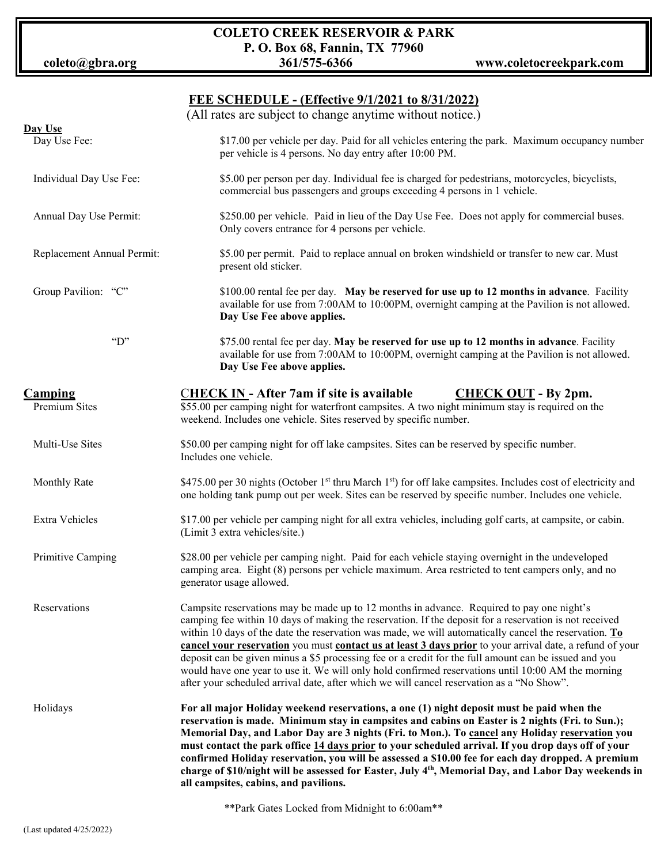**COLETO CREEK RESERVOIR & PARK P. O. Box 68, Fannin, TX 77960**

#### **FEE SCHEDULE - (Effective 9/1/2021 to 8/31/2022)**

|                            | (All rates are subject to change anytime without notice.)                                                                                                                                                                                                                                                                                                                                                                                                                                                                                                                                                                                                                                                                                                   |
|----------------------------|-------------------------------------------------------------------------------------------------------------------------------------------------------------------------------------------------------------------------------------------------------------------------------------------------------------------------------------------------------------------------------------------------------------------------------------------------------------------------------------------------------------------------------------------------------------------------------------------------------------------------------------------------------------------------------------------------------------------------------------------------------------|
| Day Use                    |                                                                                                                                                                                                                                                                                                                                                                                                                                                                                                                                                                                                                                                                                                                                                             |
| Day Use Fee:               | \$17.00 per vehicle per day. Paid for all vehicles entering the park. Maximum occupancy number<br>per vehicle is 4 persons. No day entry after 10:00 PM.                                                                                                                                                                                                                                                                                                                                                                                                                                                                                                                                                                                                    |
| Individual Day Use Fee:    | \$5.00 per person per day. Individual fee is charged for pedestrians, motorcycles, bicyclists,<br>commercial bus passengers and groups exceeding 4 persons in 1 vehicle.                                                                                                                                                                                                                                                                                                                                                                                                                                                                                                                                                                                    |
| Annual Day Use Permit:     | \$250.00 per vehicle. Paid in lieu of the Day Use Fee. Does not apply for commercial buses.<br>Only covers entrance for 4 persons per vehicle.                                                                                                                                                                                                                                                                                                                                                                                                                                                                                                                                                                                                              |
| Replacement Annual Permit: | \$5.00 per permit. Paid to replace annual on broken windshield or transfer to new car. Must<br>present old sticker.                                                                                                                                                                                                                                                                                                                                                                                                                                                                                                                                                                                                                                         |
| Group Pavilion: "C"        | \$100.00 rental fee per day. May be reserved for use up to 12 months in advance. Facility<br>available for use from 7:00AM to 10:00PM, overnight camping at the Pavilion is not allowed.<br>Day Use Fee above applies.                                                                                                                                                                                                                                                                                                                                                                                                                                                                                                                                      |
| $\lq\lq D$ "               | \$75.00 rental fee per day. May be reserved for use up to 12 months in advance. Facility<br>available for use from 7:00AM to 10:00PM, overnight camping at the Pavilion is not allowed.<br>Day Use Fee above applies.                                                                                                                                                                                                                                                                                                                                                                                                                                                                                                                                       |
| <b>Camping</b>             | <b>CHECK IN - After 7am if site is available</b><br><b>CHECK OUT - By 2pm.</b>                                                                                                                                                                                                                                                                                                                                                                                                                                                                                                                                                                                                                                                                              |
| Premium Sites              | \$55.00 per camping night for waterfront campsites. A two night minimum stay is required on the<br>weekend. Includes one vehicle. Sites reserved by specific number.                                                                                                                                                                                                                                                                                                                                                                                                                                                                                                                                                                                        |
| Multi-Use Sites            | \$50.00 per camping night for off lake campsites. Sites can be reserved by specific number.<br>Includes one vehicle.                                                                                                                                                                                                                                                                                                                                                                                                                                                                                                                                                                                                                                        |
| <b>Monthly Rate</b>        | \$475.00 per 30 nights (October 1 <sup>st</sup> thru March 1 <sup>st</sup> ) for off lake campsites. Includes cost of electricity and<br>one holding tank pump out per week. Sites can be reserved by specific number. Includes one vehicle.                                                                                                                                                                                                                                                                                                                                                                                                                                                                                                                |
| Extra Vehicles             | \$17.00 per vehicle per camping night for all extra vehicles, including golf carts, at campsite, or cabin.<br>(Limit 3 extra vehicles/site.)                                                                                                                                                                                                                                                                                                                                                                                                                                                                                                                                                                                                                |
| Primitive Camping          | \$28.00 per vehicle per camping night. Paid for each vehicle staying overnight in the undeveloped<br>camping area. Eight (8) persons per vehicle maximum. Area restricted to tent campers only, and no<br>generator usage allowed.                                                                                                                                                                                                                                                                                                                                                                                                                                                                                                                          |
| Reservations               | Campsite reservations may be made up to 12 months in advance. Required to pay one night's<br>camping fee within 10 days of making the reservation. If the deposit for a reservation is not received<br>within 10 days of the date the reservation was made, we will automatically cancel the reservation. $\underline{\mathbf{To}}$<br>cancel your reservation you must contact us at least 3 days prior to your arrival date, a refund of your<br>deposit can be given minus a \$5 processing fee or a credit for the full amount can be issued and you<br>would have one year to use it. We will only hold confirmed reservations until 10:00 AM the morning<br>after your scheduled arrival date, after which we will cancel reservation as a "No Show". |
| Holidays                   | For all major Holiday weekend reservations, a one (1) night deposit must be paid when the<br>reservation is made. Minimum stay in campsites and cabins on Easter is 2 nights (Fri. to Sun.);<br>Memorial Day, and Labor Day are 3 nights (Fri. to Mon.). To cancel any Holiday reservation you<br>must contact the park office 14 days prior to your scheduled arrival. If you drop days off of your<br>confirmed Holiday reservation, you will be assessed a \$10.00 fee for each day dropped. A premium<br>charge of \$10/night will be assessed for Easter, July 4th, Memorial Day, and Labor Day weekends in<br>all campsites, cabins, and pavilions.                                                                                                   |

\*\*Park Gates Locked from Midnight to 6:00am\*\*